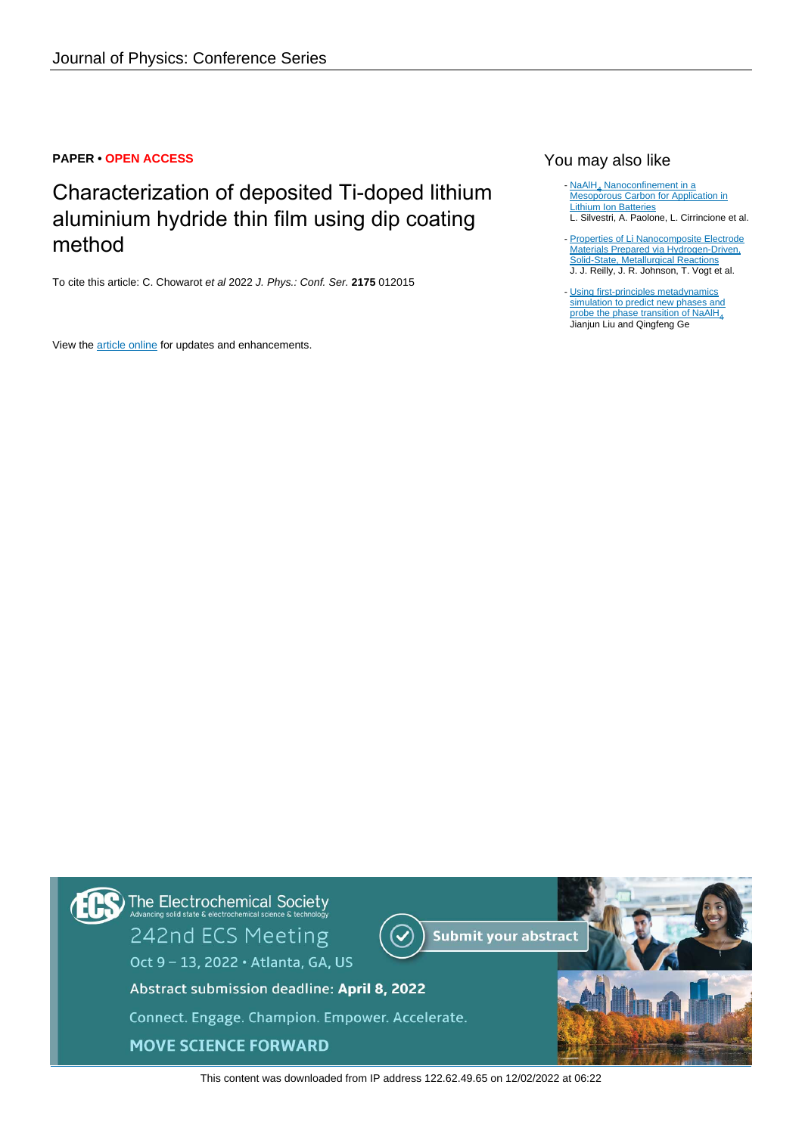# **PAPER • OPEN ACCESS**

Characterization of deposited Ti-doped lithium aluminium hydride thin film using dip coating method

To cite this article: C. Chowarot et al 2022 J. Phys.: Conf. Ser. **2175** 012015

View the [article online](https://doi.org/10.1088/1742-6596/2175/1/012015) for updates and enhancements.

# You may also like

- [NaAlH](https://iopscience.iop.org/article/10.1149/2.0761706jes)<sub>[4](https://iopscience.iop.org/article/10.1149/2.0761706jes)</sub> [Nanoconfinement in a](https://iopscience.iop.org/article/10.1149/2.0761706jes) [Mesoporous Carbon for Application in](https://iopscience.iop.org/article/10.1149/2.0761706jes) [Lithium Ion Batteries](https://iopscience.iop.org/article/10.1149/2.0761706jes) L. Silvestri, A. Paolone, L. Cirrincione et al.
- [Properties of Li Nanocomposite Electrode](https://iopscience.iop.org/article/10.1149/1.1372217) [Materials Prepared via Hydrogen-Driven,](https://iopscience.iop.org/article/10.1149/1.1372217) [Solid-State, Metallurgical Reactions](https://iopscience.iop.org/article/10.1149/1.1372217) J. J. Reilly, J. R. Johnson, T. Vogt et al. -
- [Using first-principles metadynamics](https://iopscience.iop.org/article/10.1088/0953-8984/23/34/345401) [simulation to predict new phases and](https://iopscience.iop.org/article/10.1088/0953-8984/23/34/345401) [probe the phase transition of NaAlH](https://iopscience.iop.org/article/10.1088/0953-8984/23/34/345401)<sub>4</sub> Jianjun Liu and Qingfeng Ge



This content was downloaded from IP address 122.62.49.65 on 12/02/2022 at 06:22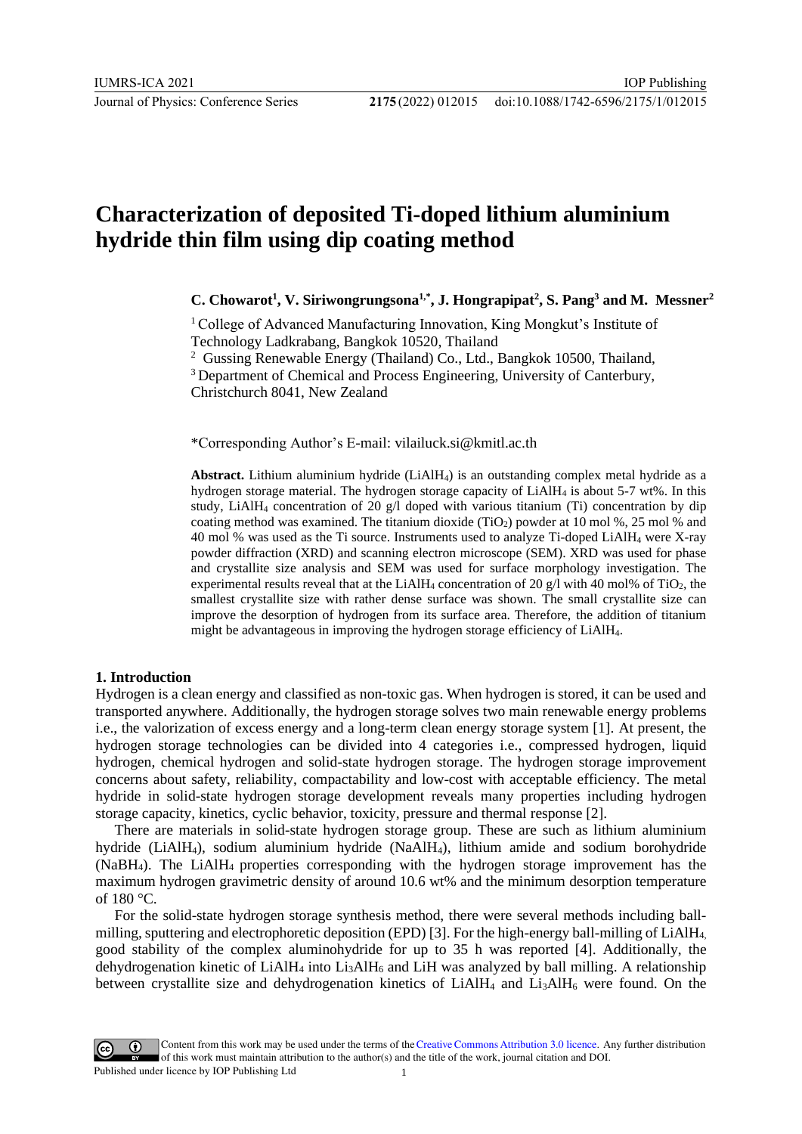# **Characterization of deposited Ti-doped lithium aluminium hydride thin film using dip coating method**

# **C. Chowarot<sup>1</sup> , V. Siriwongrungsona1,\* , J. Hongrapipat<sup>2</sup> , S. Pang<sup>3</sup> and M. Messner<sup>2</sup>**

<sup>1</sup>College of Advanced Manufacturing Innovation, King Mongkut's Institute of Technology Ladkrabang, Bangkok 10520, Thailand

<sup>2</sup> Gussing Renewable Energy (Thailand) Co., Ltd., Bangkok 10500, Thailand,

<sup>3</sup> Department of Chemical and Process Engineering, University of Canterbury,

Christchurch 8041, New Zealand

\*Corresponding Author's E-mail: vilailuck.si@kmitl.ac.th

**Abstract.** Lithium aluminium hydride (LiAlH4) is an outstanding complex metal hydride as a hydrogen storage material. The hydrogen storage capacity of LiAlH<sup>4</sup> is about 5-7 wt%. In this study, LiAlH<sub>4</sub> concentration of 20  $\alpha$ /l doped with various titanium (Ti) concentration by dip coating method was examined. The titanium dioxide  $(TiO<sub>2</sub>)$  powder at 10 mol %, 25 mol % and 40 mol % was used as the Ti source. Instruments used to analyze Ti-doped LiAlH<sup>4</sup> were X-ray powder diffraction (XRD) and scanning electron microscope (SEM). XRD was used for phase and crystallite size analysis and SEM was used for surface morphology investigation. The experimental results reveal that at the LiAlH<sub>4</sub> concentration of 20 g/l with 40 mol% of TiO<sub>2</sub>, the smallest crystallite size with rather dense surface was shown. The small crystallite size can improve the desorption of hydrogen from its surface area. Therefore, the addition of titanium might be advantageous in improving the hydrogen storage efficiency of LiAlH4.

# **1. Introduction**

Hydrogen is a clean energy and classified as non-toxic gas. When hydrogen is stored, it can be used and transported anywhere. Additionally, the hydrogen storage solves two main renewable energy problems i.e., the valorization of excess energy and a long-term clean energy storage system [1]. At present, the hydrogen storage technologies can be divided into 4 categories i.e., compressed hydrogen, liquid hydrogen, chemical hydrogen and solid-state hydrogen storage. The hydrogen storage improvement concerns about safety, reliability, compactability and low-cost with acceptable efficiency. The metal hydride in solid-state hydrogen storage development reveals many properties including hydrogen storage capacity, kinetics, cyclic behavior, toxicity, pressure and thermal response [2].

There are materials in solid-state hydrogen storage group. These are such as lithium aluminium hydride (LiAlH4), sodium aluminium hydride (NaAlH4), lithium amide and sodium borohydride (NaBH4). The LiAlH4 properties corresponding with the hydrogen storage improvement has the maximum hydrogen gravimetric density of around 10.6 wt% and the minimum desorption temperature of 180 °C.

For the solid-state hydrogen storage synthesis method, there were several methods including ballmilling, sputtering and electrophoretic deposition (EPD) [3]. For the high-energy ball-milling of LiAlH4, good stability of the complex aluminohydride for up to 35 h was reported [4]. Additionally, the dehydrogenation kinetic of LiAlH<sub>4</sub> into Li<sub>3</sub>AlH<sub>6</sub> and LiH was analyzed by ball milling. A relationship between crystallite size and dehydrogenation kinetics of LiAlH<sub>4</sub> and Li<sub>3</sub>AlH<sub>6</sub> were found. On the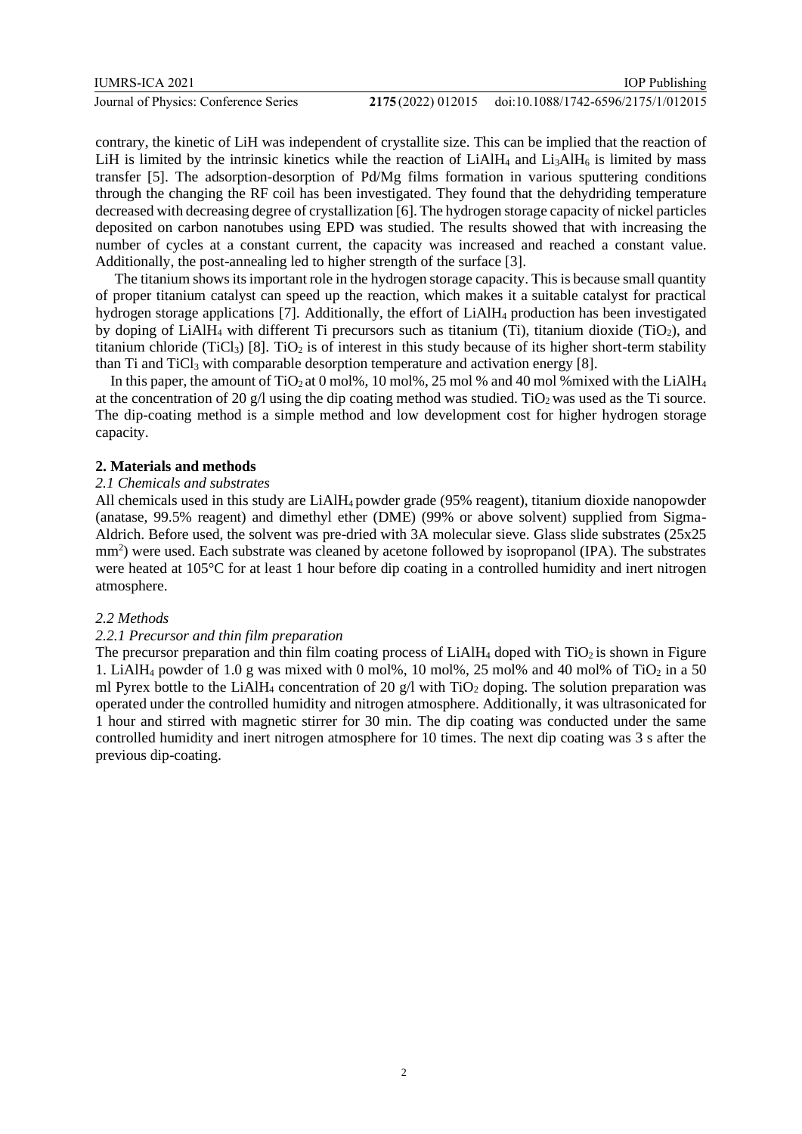contrary, the kinetic of LiH was independent of crystallite size. This can be implied that the reaction of LiH is limited by the intrinsic kinetics while the reaction of  $LiAlH<sub>4</sub>$  and  $Li<sub>3</sub>AlH<sub>6</sub>$  is limited by mass transfer [5]. The adsorption-desorption of Pd/Mg films formation in various sputtering conditions through the changing the RF coil has been investigated. They found that the dehydriding temperature decreased with decreasing degree of crystallization [6]. The hydrogen storage capacity of nickel particles deposited on carbon nanotubes using EPD was studied. The results showed that with increasing the number of cycles at a constant current, the capacity was increased and reached a constant value. Additionally, the post-annealing led to higher strength of the surface [3].

The titanium shows its important role in the hydrogen storage capacity. This is because small quantity of proper titanium catalyst can speed up the reaction, which makes it a suitable catalyst for practical hydrogen storage applications [7]. Additionally, the effort of LiAlH<sup>4</sup> production has been investigated by doping of  $LiAlH<sub>4</sub>$  with different Ti precursors such as titanium (Ti), titanium dioxide (TiO<sub>2</sub>), and titanium chloride (TiCl<sub>3</sub>) [8]. TiO<sub>2</sub> is of interest in this study because of its higher short-term stability than Ti and TiCl<sup>3</sup> with comparable desorption temperature and activation energy [8].

In this paper, the amount of TiO<sub>2</sub> at 0 mol%, 10 mol%, 25 mol % and 40 mol %mixed with the LiAlH<sub>4</sub> at the concentration of 20 g/l using the dip coating method was studied. TiO<sub>2</sub> was used as the Ti source. The dip-coating method is a simple method and low development cost for higher hydrogen storage capacity.

#### **2. Materials and methods**

#### *2.1 Chemicals and substrates*

All chemicals used in this study are LiAlH4 powder grade (95% reagent), titanium dioxide nanopowder (anatase, 99.5% reagent) and dimethyl ether (DME) (99% or above solvent) supplied from Sigma-Aldrich. Before used, the solvent was pre-dried with 3A molecular sieve. Glass slide substrates (25x25 mm<sup>2</sup>) were used. Each substrate was cleaned by acetone followed by isopropanol (IPA). The substrates were heated at 105°C for at least 1 hour before dip coating in a controlled humidity and inert nitrogen atmosphere.

#### *2.2 Methods*

## *2.2.1 Precursor and thin film preparation*

The precursor preparation and thin film coating process of  $LiAlH<sub>4</sub>$  doped with  $TiO<sub>2</sub>$  is shown in Figure 1. LiAlH<sub>4</sub> powder of 1.0 g was mixed with 0 mol%, 10 mol%, 25 mol% and 40 mol% of TiO<sub>2</sub> in a 50 ml Pyrex bottle to the LiAlH<sub>4</sub> concentration of 20 g/l with  $TiO<sub>2</sub>$  doping. The solution preparation was operated under the controlled humidity and nitrogen atmosphere. Additionally, it was ultrasonicated for 1 hour and stirred with magnetic stirrer for 30 min. The dip coating was conducted under the same controlled humidity and inert nitrogen atmosphere for 10 times. The next dip coating was 3 s after the previous dip-coating.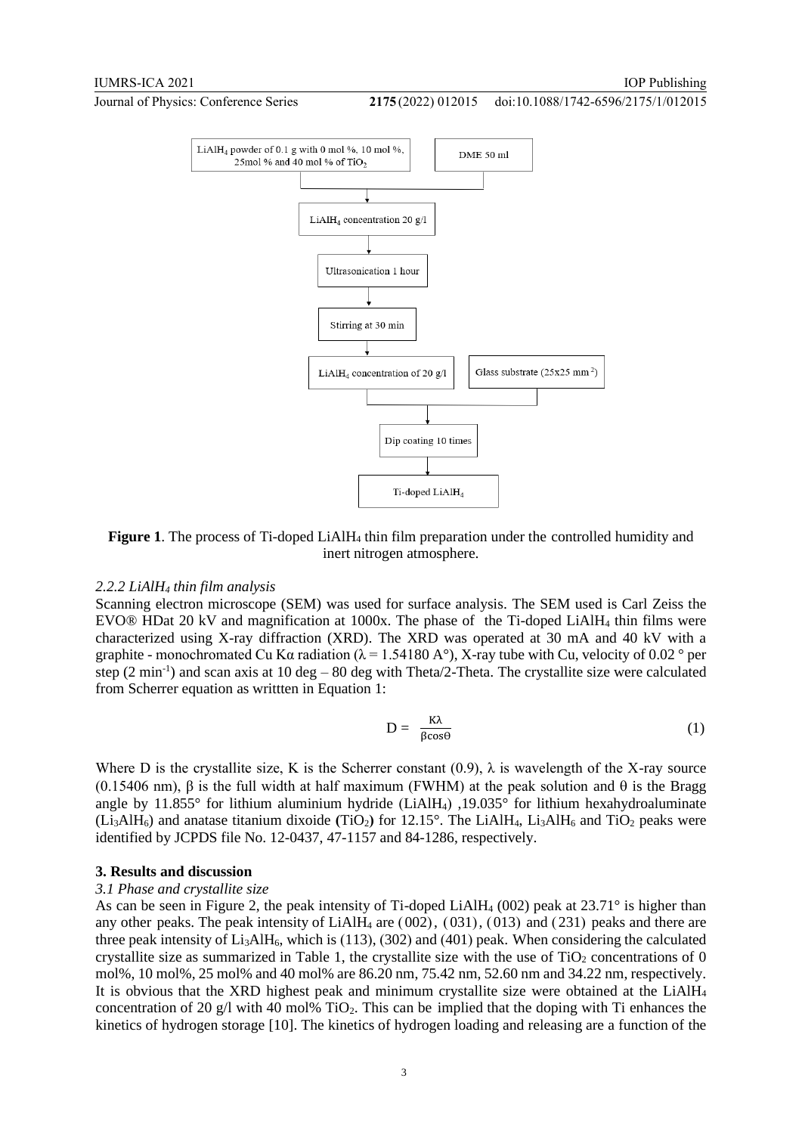doi:10.1088/1742-6596/2175/1/012015



**Figure 1**. The process of Ti-doped LiAlH<sup>4</sup> thin film preparation under the controlled humidity and inert nitrogen atmosphere.

#### *2.2.2 LiAlH<sup>4</sup> thin film analysis*

Scanning electron microscope (SEM) was used for surface analysis. The SEM used is Carl Zeiss the EVO® HDat 20 kV and magnification at 1000x. The phase of the Ti-doped LiAlH<sup>4</sup> thin films were characterized using X-ray diffraction (XRD). The XRD was operated at 30 mA and 40 kV with a graphite - monochromated Cu K $\alpha$  radiation ( $\lambda$  = 1.54180 A $\degree$ ), X-ray tube with Cu, velocity of 0.02  $\degree$  per step  $(2 \text{ min}^{-1})$  and scan axis at  $10 \text{ deg} - 80 \text{ deg}$  with Theta/2-Theta. The crystallite size were calculated from Scherrer equation as writtten in Equation 1:

$$
D = \frac{K\lambda}{\beta \cos \theta} \tag{1}
$$

Where D is the crystallite size, K is the Scherrer constant  $(0.9)$ ,  $\lambda$  is wavelength of the X-ray source (0.15406 nm),  $\beta$  is the full width at half maximum (FWHM) at the peak solution and  $\theta$  is the Bragg angle by 11.855° for lithium aluminium hydride (LiAlH<sub>4</sub>), 19.035° for lithium hexahydroaluminate  $(L_iAIH_6)$  and anatase titanium dixoide  $(TiO_2)$  for 12.15°. The LiAlH<sub>4</sub>, Li<sub>3</sub>AlH<sub>6</sub> and TiO<sub>2</sub> peaks were identified by JCPDS file No. 12-0437, 47-1157 and 84-1286, respectively.

#### **3. Results and discussion**

#### *3.1 Phase and crystallite size*

As can be seen in Figure 2, the peak intensity of Ti-doped LiAlH<sub>4</sub> (002) peak at  $23.71^\circ$  is higher than any other peaks. The peak intensity of LiAlH<sub>4</sub> are  $(002)$ ,  $(031)$ ,  $(013)$  and  $(231)$  peaks and there are three peak intensity of  $Li<sub>3</sub>AIH<sub>6</sub>$ , which is (113), (302) and (401) peak. When considering the calculated crystallite size as summarized in Table 1, the crystallite size with the use of  $TiO<sub>2</sub>$  concentrations of 0 mol%, 10 mol%, 25 mol% and 40 mol% are 86.20 nm, 75.42 nm, 52.60 nm and 34.22 nm, respectively. It is obvious that the XRD highest peak and minimum crystallite size were obtained at the LiAlH<sup>4</sup> concentration of 20 g/l with 40 mol% TiO<sub>2</sub>. This can be implied that the doping with Ti enhances the kinetics of hydrogen storage [10]. The kinetics of hydrogen loading and releasing are a function of the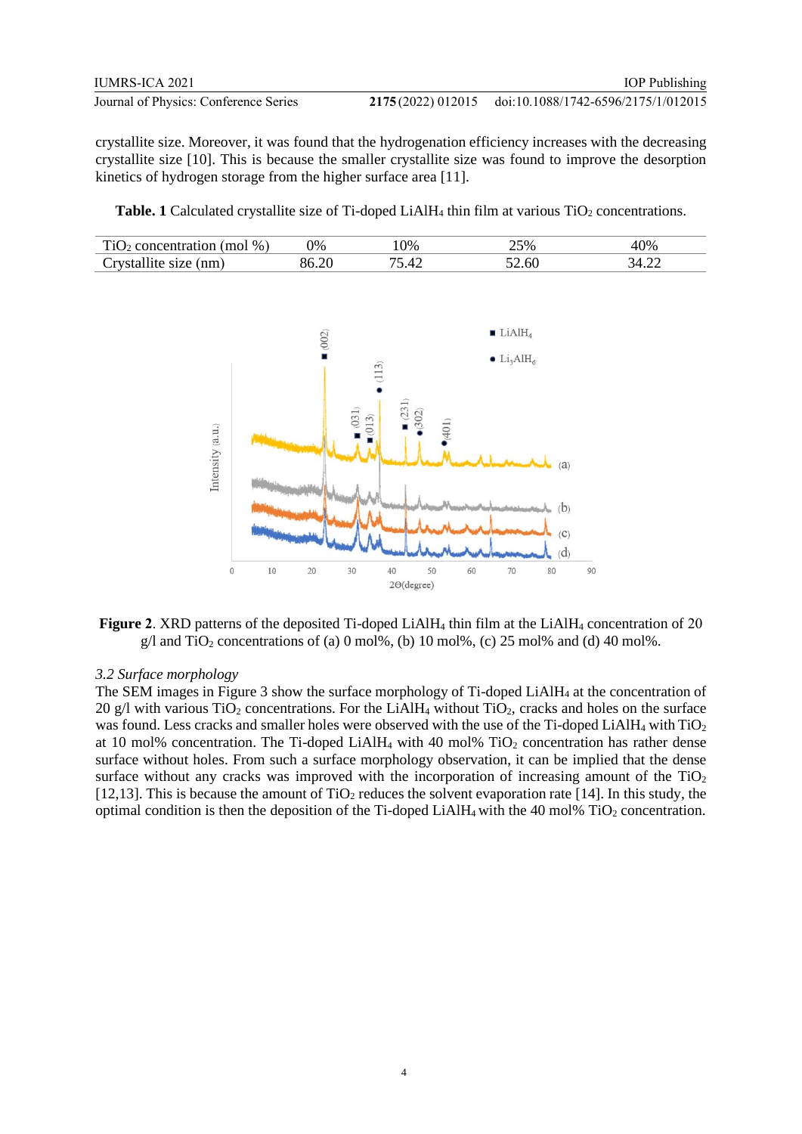crystallite size. Moreover, it was found that the hydrogenation efficiency increases with the decreasing crystallite size [10]. This is because the smaller crystallite size was found to improve the desorption kinetics of hydrogen storage from the higher surface area [11].

**Table. 1** Calculated crystallite size of Ti-doped LiAlH<sub>4</sub> thin film at various TiO<sub>2</sub> concentrations.

| $\%$<br>. .                | $\gamma\%$ | 0% | ے ۔<br>∩∀י<br>رے | '0%        |
|----------------------------|------------|----|------------------|------------|
| 'nm<br>$\cdot$ $\sim$<br>◡ |            |    | 2.6U             | iД<br>г.∠∠ |



**Figure 2**. XRD patterns of the deposited Ti-doped LiAlH<sup>4</sup> thin film at the LiAlH<sup>4</sup> concentration of 20  $g/\text{l}$  and TiO<sub>2</sub> concentrations of (a) 0 mol%, (b) 10 mol%, (c) 25 mol% and (d) 40 mol%.

### *3.2 Surface morphology*

The SEM images in Figure 3 show the surface morphology of Ti-doped LiAlH<sup>4</sup> at the concentration of  $20$  g/l with various TiO<sub>2</sub> concentrations. For the LiAlH<sub>4</sub> without TiO<sub>2</sub>, cracks and holes on the surface was found. Less cracks and smaller holes were observed with the use of the Ti-doped LiAlH<sub>4</sub> with TiO<sub>2</sub> at 10 mol% concentration. The Ti-doped LiAlH<sub>4</sub> with 40 mol%  $TiO<sub>2</sub>$  concentration has rather dense surface without holes. From such a surface morphology observation, it can be implied that the dense surface without any cracks was improved with the incorporation of increasing amount of the  $TiO<sub>2</sub>$ [12,13]. This is because the amount of  $TiO<sub>2</sub>$  reduces the solvent evaporation rate [14]. In this study, the optimal condition is then the deposition of the Ti-doped LiAlH<sub>4</sub> with the 40 mol%  $TiO<sub>2</sub>$  concentration.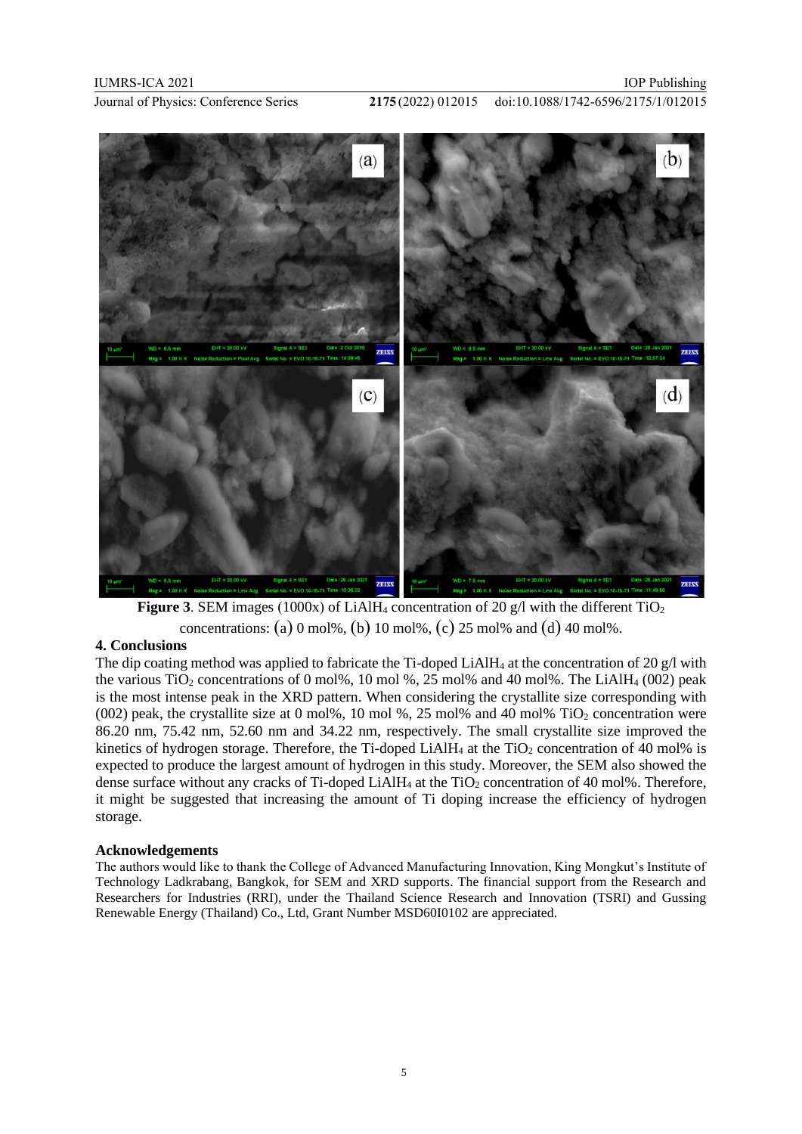doi:10.1088/1742-6596/2175/1/012015



**Figure 3**. SEM images (1000x) of LiAlH<sub>4</sub> concentration of 20 g/l with the different  $TiO<sub>2</sub>$ concentrations: (a) 0 mol%, (b) 10 mol%, (c) 25 mol% and (d) 40 mol%.

# **4. Conclusions**

The dip coating method was applied to fabricate the Ti-doped LiAlH<sub>4</sub> at the concentration of 20 g/l with the various TiO<sub>2</sub> concentrations of 0 mol%, 10 mol %, 25 mol% and 40 mol%. The LiAlH<sub>4</sub> (002) peak is the most intense peak in the XRD pattern. When considering the crystallite size corresponding with  $(002)$  peak, the crystallite size at 0 mol%, 10 mol %, 25 mol% and 40 mol% TiO<sub>2</sub> concentration were 86.20 nm, 75.42 nm, 52.60 nm and 34.22 nm, respectively. The small crystallite size improved the kinetics of hydrogen storage. Therefore, the Ti-doped LiAlH<sub>4</sub> at the TiO<sub>2</sub> concentration of 40 mol% is expected to produce the largest amount of hydrogen in this study. Moreover, the SEM also showed the dense surface without any cracks of Ti-doped LiAlH<sub>4</sub> at the TiO<sub>2</sub> concentration of 40 mol%. Therefore, it might be suggested that increasing the amount of Ti doping increase the efficiency of hydrogen storage.

#### **Acknowledgements**

The authors would like to thank the College of Advanced Manufacturing Innovation, King Mongkut's Institute of Technology Ladkrabang, Bangkok, for SEM and XRD supports. The financial support from the Research and Researchers for Industries (RRI), under the Thailand Science Research and Innovation (TSRI) and Gussing Renewable Energy (Thailand) Co., Ltd, Grant Number MSD60I0102 are appreciated.